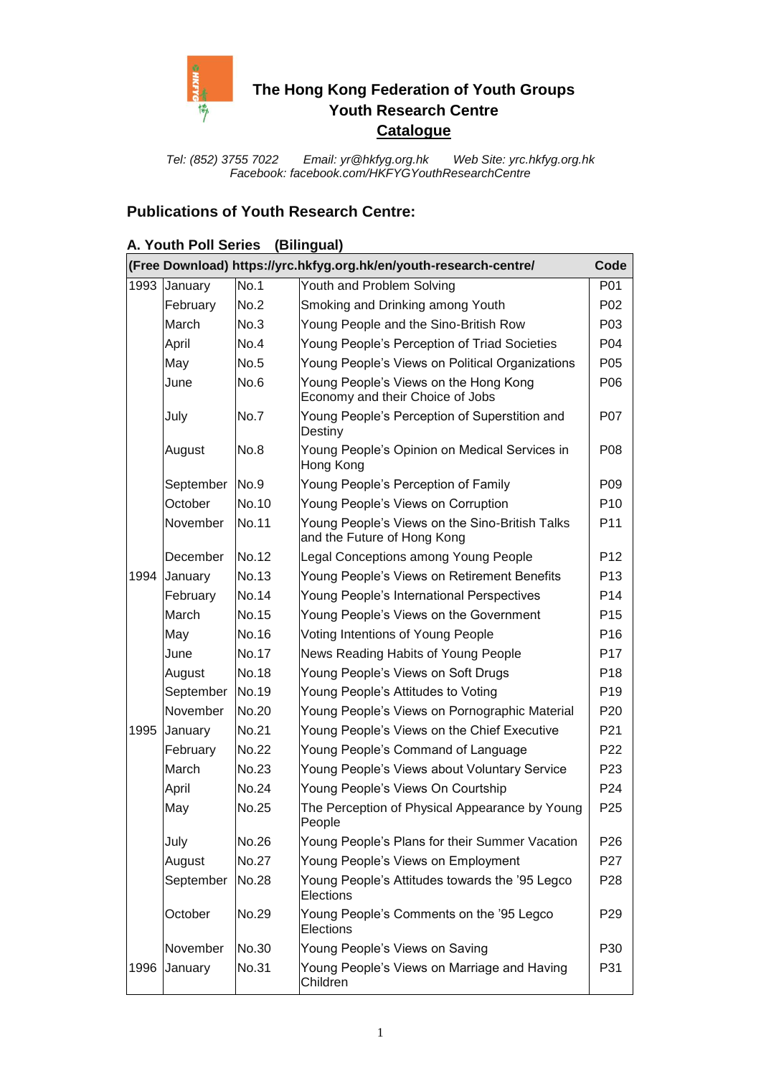

# **The Hong Kong Federation of Youth Groups Youth Research Centre Catalogue**

*Tel: (852) 3755 7022 Email: [yr@hkfyg.org.hk](mailto:yr@hkfyg.org.hk) Web Site: yrc.hkfyg.org.hk Facebook: facebook.com/HKFYGYouthResearchCentre*

### **Publications of Youth Research Centre:**

#### **A. Youth Poll Series (Bilingual) (Free Download) https://yrc.hkfyg.org.hk/en/youth-research-centre/ Code** 1993 January No.1 Youth and Problem Solving Number 1993 | P01 February No.2 Smoking and Drinking among Youth P02 March No.3 Young People and the Sino-British Row | P03 April Mo.4 Young People's Perception of Triad Societies | P04 May Mo.5 Young People's Views on Political Organizations | P05 June | No.6 | Young People's Views on the Hong Kong Economy and their Choice of Jobs P06 July No.7 Young People's Perception of Superstition and **Destiny** P07 August No.8 Young People's Opinion on Medical Services in Hong Kong P08 September No.9 Young People's Perception of Family F09 October No.10 Young People's Views on Corruption | P10 November No.11 | Young People's Views on the Sino-British Talks and the Future of Hong Kong P11 December No.12 Legal Conceptions among Young People P12 1994 January No.13 Young People's Views on Retirement Benefits P13 February No.14 | Young People's International Perspectives | P14 March  $\vert$ No.15  $\vert$ Young People's Views on the Government | P15 May  $\vert$ No.16  $\vert$  Voting Intentions of Young People | P16 June | No.17 | News Reading Habits of Young People | P17 August | No.18 | Young People's Views on Soft Drugs | P18 September No.19 | Young People's Attitudes to Voting | P19 November No.20 | Young People's Views on Pornographic Material | P20 1995 January No.21 Young People's Views on the Chief Executive P21 February  $\begin{vmatrix} No.22 \ \end{vmatrix}$  Young People's Command of Language  $\begin{vmatrix} Poisson\end{vmatrix}$  P22 March Mo.23 Young People's Views about Voluntary Service P23 April Mo.24 Young People's Views On Courtship P24 May | No.25 | The Perception of Physical Appearance by Young People P25 July No.26 Young People's Plans for their Summer Vacation P26 August No.27 Young People's Views on Employment P27 September No.28 | Young People's Attitudes towards the '95 Legco **Elections** P28 October No.29 Young People's Comments on the '95 Legco **Elections** P29 November No.30 Young People's Views on Saving P630 1996 January No.31 Young People's Views on Marriage and Having Children P31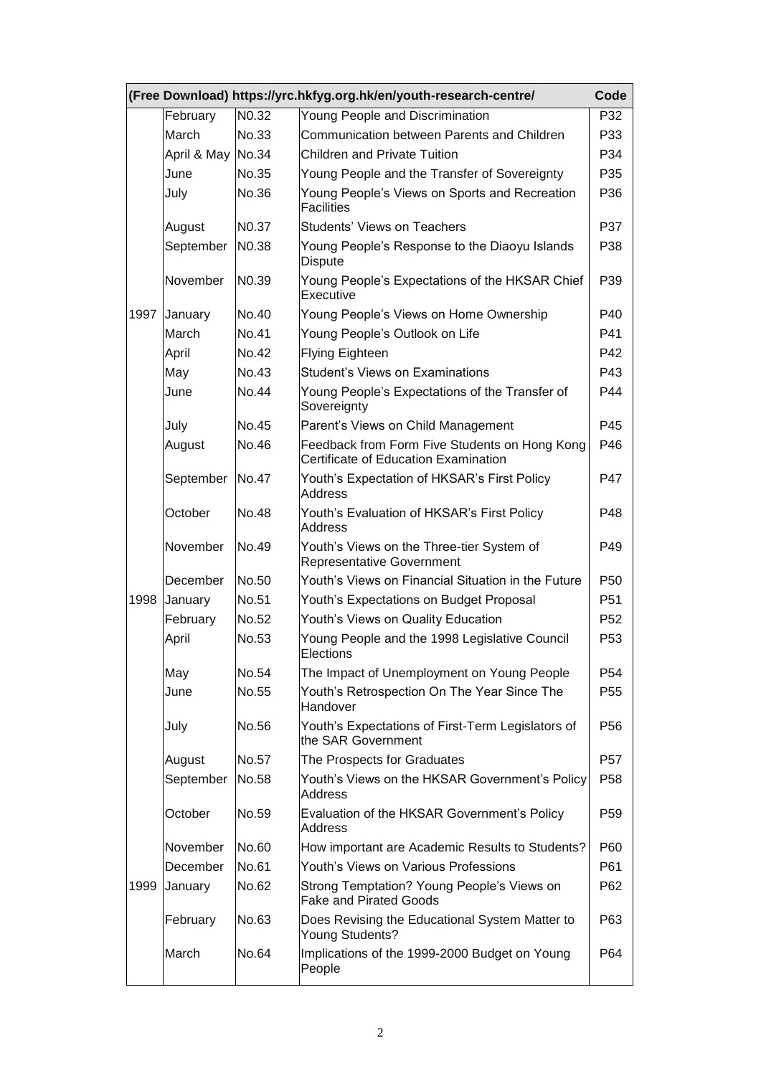|      |                   |                   | (Free Download) https://yrc.hkfyg.org.hk/en/youth-research-centre/                    | Code            |
|------|-------------------|-------------------|---------------------------------------------------------------------------------------|-----------------|
|      | February          | N <sub>0.32</sub> | Young People and Discrimination                                                       | P32             |
|      | March             | No.33             | Communication between Parents and Children                                            | P33             |
|      | April & May No.34 |                   | <b>Children and Private Tuition</b>                                                   | P34             |
|      | June              | No.35             | Young People and the Transfer of Sovereignty                                          | P <sub>35</sub> |
|      | July              | No.36             | Young People's Views on Sports and Recreation<br><b>Facilities</b>                    | P <sub>36</sub> |
|      | August            | N <sub>0.37</sub> | <b>Students' Views on Teachers</b>                                                    | P37             |
|      | September         | N0.38             | Young People's Response to the Diaoyu Islands<br>Dispute                              | P38             |
|      | November          | N <sub>0.39</sub> | Young People's Expectations of the HKSAR Chief<br>Executive                           | P39             |
| 1997 | January           | No.40             | Young People's Views on Home Ownership                                                | P40             |
|      | March             | <b>No.41</b>      | Young People's Outlook on Life                                                        | P41             |
|      | April             | No.42             | <b>Flying Eighteen</b>                                                                | P42             |
|      | May               | No.43             | <b>Student's Views on Examinations</b>                                                | P43             |
|      | June              | <b>No.44</b>      | Young People's Expectations of the Transfer of<br>Sovereignty                         | P44             |
|      | July              | <b>No.45</b>      | Parent's Views on Child Management                                                    | P45             |
|      | August            | No.46             | Feedback from Form Five Students on Hong Kong<br>Certificate of Education Examination | P46             |
|      | September         | No.47             | Youth's Expectation of HKSAR's First Policy<br>Address                                | P47             |
|      | October           | <b>No.48</b>      | Youth's Evaluation of HKSAR's First Policy<br>Address                                 | P48             |
|      | November          | No.49             | Youth's Views on the Three-tier System of<br><b>Representative Government</b>         | P49             |
|      | December          | No.50             | Youth's Views on Financial Situation in the Future                                    | P <sub>50</sub> |
| 1998 | January           | No.51             | Youth's Expectations on Budget Proposal                                               | P <sub>51</sub> |
|      | February          | No.52             | Youth's Views on Quality Education                                                    | P <sub>52</sub> |
|      | April             | No.53             | Young People and the 1998 Legislative Council<br>Elections                            | P <sub>53</sub> |
|      | May               | No.54             | The Impact of Unemployment on Young People                                            | P <sub>54</sub> |
|      | June              | No.55             | Youth's Retrospection On The Year Since The<br>Handover                               | P <sub>55</sub> |
|      | July              | No.56             | Youth's Expectations of First-Term Legislators of<br>the SAR Government               | P <sub>56</sub> |
|      | August            | No.57             | The Prospects for Graduates                                                           | P <sub>57</sub> |
|      | September         | No.58             | Youth's Views on the HKSAR Government's Policy<br>Address                             | P <sub>58</sub> |
|      | October           | No.59             | Evaluation of the HKSAR Government's Policy<br>Address                                | P <sub>59</sub> |
|      | November          | No.60             | How important are Academic Results to Students?                                       | P60             |
|      | December          | No.61             | Youth's Views on Various Professions                                                  | P61             |
| 1999 | January           | No.62             | Strong Temptation? Young People's Views on<br><b>Fake and Pirated Goods</b>           | P62             |
|      | February          | No.63             | Does Revising the Educational System Matter to<br>Young Students?                     | P63             |
|      | March             | No.64             | Implications of the 1999-2000 Budget on Young<br>People                               | P64             |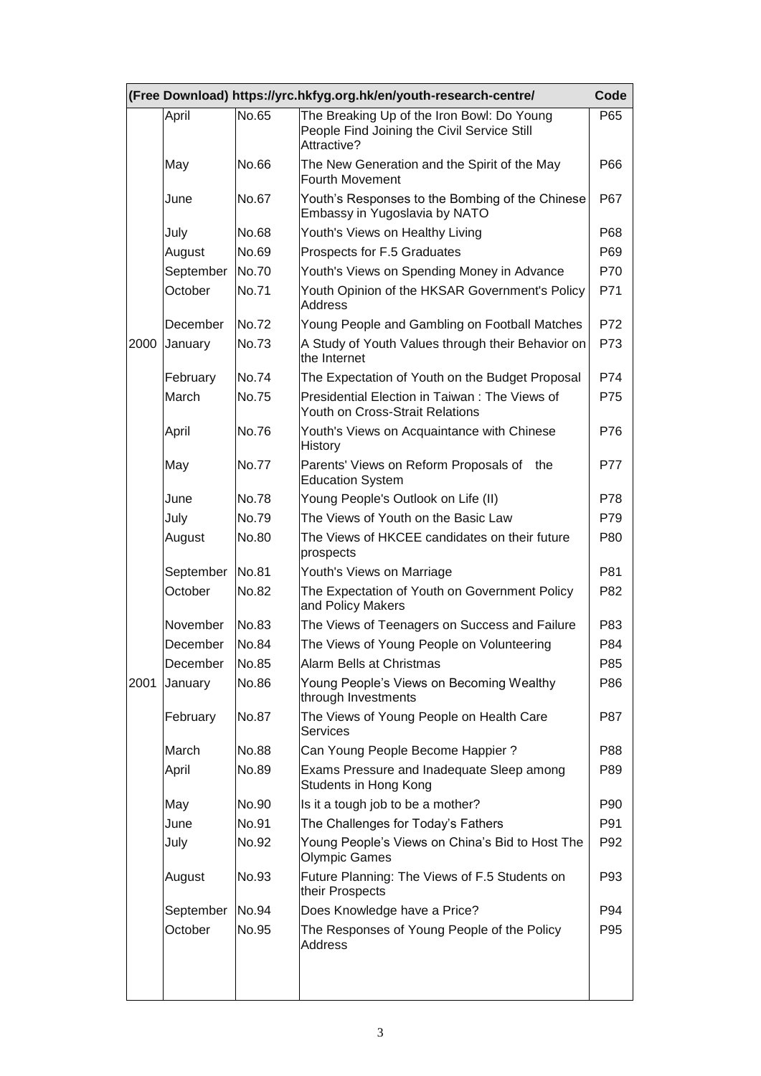|      |           |              | (Free Download) https://yrc.hkfyg.org.hk/en/youth-research-centre/                                       | Code       |
|------|-----------|--------------|----------------------------------------------------------------------------------------------------------|------------|
|      | April     | No.65        | The Breaking Up of the Iron Bowl: Do Young<br>People Find Joining the Civil Service Still<br>Attractive? | P65        |
|      | May       | No.66        | The New Generation and the Spirit of the May<br><b>Fourth Movement</b>                                   | P66        |
|      | June      | <b>No.67</b> | Youth's Responses to the Bombing of the Chinese<br>Embassy in Yugoslavia by NATO                         | P67        |
|      | July      | No.68        | Youth's Views on Healthy Living                                                                          | P68        |
|      | August    | No.69        | Prospects for F.5 Graduates                                                                              | P69        |
|      | September | No.70        | Youth's Views on Spending Money in Advance                                                               | P70        |
|      | October   | No.71        | Youth Opinion of the HKSAR Government's Policy<br><b>Address</b>                                         | P71        |
|      | December  | No.72        | Young People and Gambling on Football Matches                                                            | P72        |
| 2000 | January   | No.73        | A Study of Youth Values through their Behavior on<br>the Internet                                        | P73        |
|      | February  | No.74        | The Expectation of Youth on the Budget Proposal                                                          | P74        |
|      | March     | No.75        | Presidential Election in Taiwan: The Views of<br>Youth on Cross-Strait Relations                         | P75        |
|      | April     | No.76        | Youth's Views on Acquaintance with Chinese<br><b>History</b>                                             | P76        |
|      | May       | No.77        | Parents' Views on Reform Proposals of<br>the<br><b>Education System</b>                                  | <b>P77</b> |
|      | June      | No.78        | Young People's Outlook on Life (II)                                                                      | P78        |
|      | July      | No.79        | The Views of Youth on the Basic Law                                                                      | P79        |
|      | August    | No.80        | The Views of HKCEE candidates on their future<br>prospects                                               | P80        |
|      | September | <b>No.81</b> | Youth's Views on Marriage                                                                                | P81        |
|      | October   | <b>No.82</b> | The Expectation of Youth on Government Policy<br>and Policy Makers                                       | P82        |
|      | November  | No.83        | The Views of Teenagers on Success and Failure                                                            | P83        |
|      | December  | No.84        | The Views of Young People on Volunteering                                                                | P84        |
|      | December  | No.85        | Alarm Bells at Christmas                                                                                 | P85        |
| 2001 | January   | No.86        | Young People's Views on Becoming Wealthy<br>through Investments                                          | P86        |
|      | February  | <b>No.87</b> | The Views of Young People on Health Care<br><b>Services</b>                                              | P87        |
|      | March     | <b>No.88</b> | Can Young People Become Happier ?                                                                        | P88        |
|      | April     | No.89        | Exams Pressure and Inadequate Sleep among<br>Students in Hong Kong                                       | P89        |
|      | May       | No.90        | Is it a tough job to be a mother?                                                                        | P90        |
|      | June      | No.91        | The Challenges for Today's Fathers                                                                       | P91        |
|      | July      | No.92        | Young People's Views on China's Bid to Host The<br><b>Olympic Games</b>                                  | P92        |
|      | August    | No.93        | Future Planning: The Views of F.5 Students on<br>their Prospects                                         | P93        |
|      | September | No.94        | Does Knowledge have a Price?                                                                             | P94        |
|      | October   | No.95        | The Responses of Young People of the Policy<br>Address                                                   | P95        |
|      |           |              |                                                                                                          |            |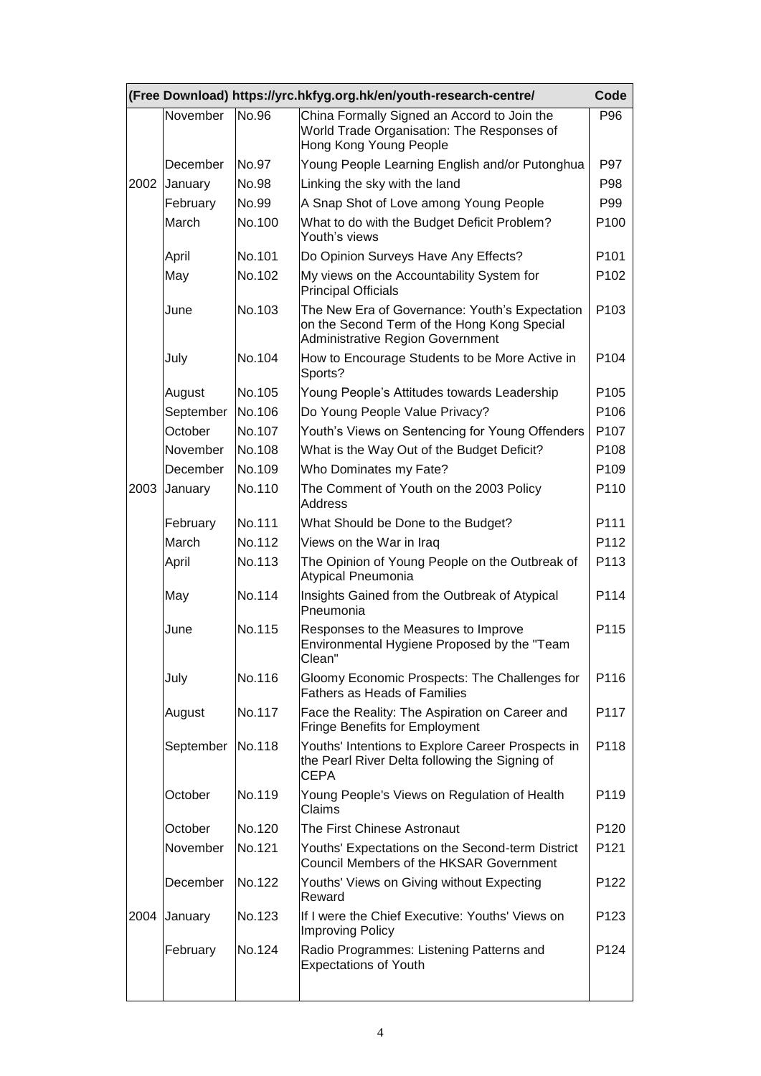|      |           |        | (Free Download) https://yrc.hkfyg.org.hk/en/youth-research-centre/                                                                       | Code             |
|------|-----------|--------|------------------------------------------------------------------------------------------------------------------------------------------|------------------|
|      | November  | No.96  | China Formally Signed an Accord to Join the<br>World Trade Organisation: The Responses of<br>Hong Kong Young People                      | P96              |
|      | December  | No.97  | Young People Learning English and/or Putonghua                                                                                           | <b>P97</b>       |
| 2002 | January   | No.98  | Linking the sky with the land                                                                                                            | P98              |
|      | February  | No.99  | A Snap Shot of Love among Young People                                                                                                   | P99              |
|      | March     | No.100 | What to do with the Budget Deficit Problem?<br>Youth's views                                                                             | P <sub>100</sub> |
|      | April     | No.101 | Do Opinion Surveys Have Any Effects?                                                                                                     | P <sub>101</sub> |
|      | May       | No.102 | My views on the Accountability System for<br><b>Principal Officials</b>                                                                  | P <sub>102</sub> |
|      | June      | No.103 | The New Era of Governance: Youth's Expectation<br>on the Second Term of the Hong Kong Special<br><b>Administrative Region Government</b> | P103             |
|      | July      | No.104 | How to Encourage Students to be More Active in<br>Sports?                                                                                | P <sub>104</sub> |
|      | August    | No.105 | Young People's Attitudes towards Leadership                                                                                              | P <sub>105</sub> |
|      | September | No.106 | Do Young People Value Privacy?                                                                                                           | P106             |
|      | October   | No.107 | Youth's Views on Sentencing for Young Offenders                                                                                          | P <sub>107</sub> |
|      | November  | No.108 | What is the Way Out of the Budget Deficit?                                                                                               | P <sub>108</sub> |
|      | December  | No.109 | Who Dominates my Fate?                                                                                                                   | P109             |
| 2003 | January   | No.110 | The Comment of Youth on the 2003 Policy<br><b>Address</b>                                                                                | P110             |
|      | February  | No.111 | What Should be Done to the Budget?                                                                                                       | P111             |
|      | March     | No.112 | Views on the War in Iraq                                                                                                                 | P112             |
|      | April     | No.113 | The Opinion of Young People on the Outbreak of<br>Atypical Pneumonia                                                                     | P113             |
|      | May       | No.114 | Insights Gained from the Outbreak of Atypical<br>Pneumonia                                                                               | P114             |
|      | June      | No.115 | Responses to the Measures to Improve<br>Environmental Hygiene Proposed by the "Team<br>Clean"                                            | P115             |
|      | July      | No.116 | Gloomy Economic Prospects: The Challenges for<br><b>Fathers as Heads of Families</b>                                                     | P116             |
|      | August    | No.117 | Face the Reality: The Aspiration on Career and<br><b>Fringe Benefits for Employment</b>                                                  | P117             |
|      | September | No.118 | Youths' Intentions to Explore Career Prospects in<br>the Pearl River Delta following the Signing of<br><b>CEPA</b>                       | P118             |
|      | October   | No.119 | Young People's Views on Regulation of Health<br>Claims                                                                                   | P119             |
|      | October   | No.120 | The First Chinese Astronaut                                                                                                              | P <sub>120</sub> |
|      | November  | No.121 | Youths' Expectations on the Second-term District<br><b>Council Members of the HKSAR Government</b>                                       | P <sub>121</sub> |
|      | December  | No.122 | Youths' Views on Giving without Expecting<br>Reward                                                                                      | P <sub>122</sub> |
| 2004 | January   | No.123 | If I were the Chief Executive: Youths' Views on<br><b>Improving Policy</b>                                                               | P <sub>123</sub> |
|      | February  | No.124 | Radio Programmes: Listening Patterns and<br><b>Expectations of Youth</b>                                                                 | P124             |
|      |           |        |                                                                                                                                          |                  |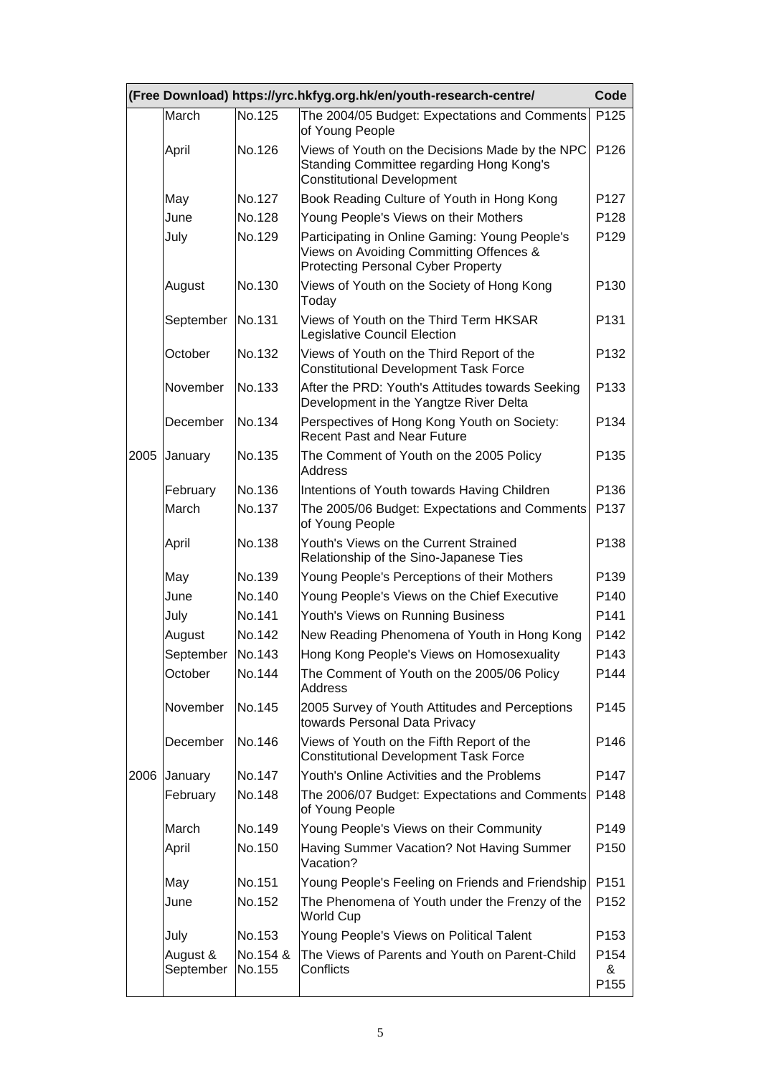|      |                       |                    | (Free Download) https://yrc.hkfyg.org.hk/en/youth-research-centre/                                                                     | Code                          |
|------|-----------------------|--------------------|----------------------------------------------------------------------------------------------------------------------------------------|-------------------------------|
|      | March                 | No.125             | The 2004/05 Budget: Expectations and Comments<br>of Young People                                                                       | P <sub>125</sub>              |
|      | April                 | No.126             | Views of Youth on the Decisions Made by the NPC<br>Standing Committee regarding Hong Kong's<br><b>Constitutional Development</b>       | P <sub>126</sub>              |
|      | May                   | No.127             | Book Reading Culture of Youth in Hong Kong                                                                                             | P <sub>127</sub>              |
|      | June                  | No.128             | Young People's Views on their Mothers                                                                                                  | P128                          |
|      | July                  | No.129             | Participating in Online Gaming: Young People's<br>Views on Avoiding Committing Offences &<br><b>Protecting Personal Cyber Property</b> | P129                          |
|      | August                | No.130             | Views of Youth on the Society of Hong Kong<br>Today                                                                                    | P <sub>130</sub>              |
|      | September             | No.131             | Views of Youth on the Third Term HKSAR<br>Legislative Council Election                                                                 | P131                          |
|      | October               | No.132             | Views of Youth on the Third Report of the<br><b>Constitutional Development Task Force</b>                                              | P <sub>132</sub>              |
|      | November              | No.133             | After the PRD: Youth's Attitudes towards Seeking<br>Development in the Yangtze River Delta                                             | P <sub>133</sub>              |
|      | December              | No.134             | Perspectives of Hong Kong Youth on Society:<br><b>Recent Past and Near Future</b>                                                      | P134                          |
| 2005 | January               | No.135             | The Comment of Youth on the 2005 Policy<br><b>Address</b>                                                                              | P135                          |
|      | February              | No.136             | Intentions of Youth towards Having Children                                                                                            | P136                          |
|      | March                 | No.137             | The 2005/06 Budget: Expectations and Comments<br>of Young People                                                                       | P137                          |
|      | April                 | No.138             | Youth's Views on the Current Strained<br>Relationship of the Sino-Japanese Ties                                                        | P138                          |
|      | May                   | No.139             | Young People's Perceptions of their Mothers                                                                                            | P139                          |
|      | June                  | No.140             | Young People's Views on the Chief Executive                                                                                            | P <sub>140</sub>              |
|      | July                  | No.141             | Youth's Views on Running Business                                                                                                      | P <sub>141</sub>              |
|      | August                | No.142             | New Reading Phenomena of Youth in Hong Kong                                                                                            | P142                          |
|      | September             | No.143             | Hong Kong People's Views on Homosexuality                                                                                              | P143                          |
|      | October               | No.144             | The Comment of Youth on the 2005/06 Policy<br><b>Address</b>                                                                           | P144                          |
|      | November              | No.145             | 2005 Survey of Youth Attitudes and Perceptions<br>towards Personal Data Privacy                                                        | P <sub>145</sub>              |
|      | December              | No.146             | Views of Youth on the Fifth Report of the<br><b>Constitutional Development Task Force</b>                                              | P146                          |
| 2006 | January               | No.147             | Youth's Online Activities and the Problems                                                                                             | P147                          |
|      | February              | No.148             | The 2006/07 Budget: Expectations and Comments<br>of Young People                                                                       | P148                          |
|      | March                 | No.149             | Young People's Views on their Community                                                                                                | P149                          |
|      | April                 | No.150             | Having Summer Vacation? Not Having Summer<br>Vacation?                                                                                 | P <sub>150</sub>              |
|      | May                   | No.151             | Young People's Feeling on Friends and Friendship                                                                                       | P <sub>151</sub>              |
|      | June                  | No.152             | The Phenomena of Youth under the Frenzy of the<br>World Cup                                                                            | P <sub>152</sub>              |
|      | July                  | No.153             | Young People's Views on Political Talent                                                                                               | P <sub>153</sub>              |
|      | August &<br>September | No.154 &<br>No.155 | The Views of Parents and Youth on Parent-Child<br>Conflicts                                                                            | P <sub>154</sub><br>&<br>P155 |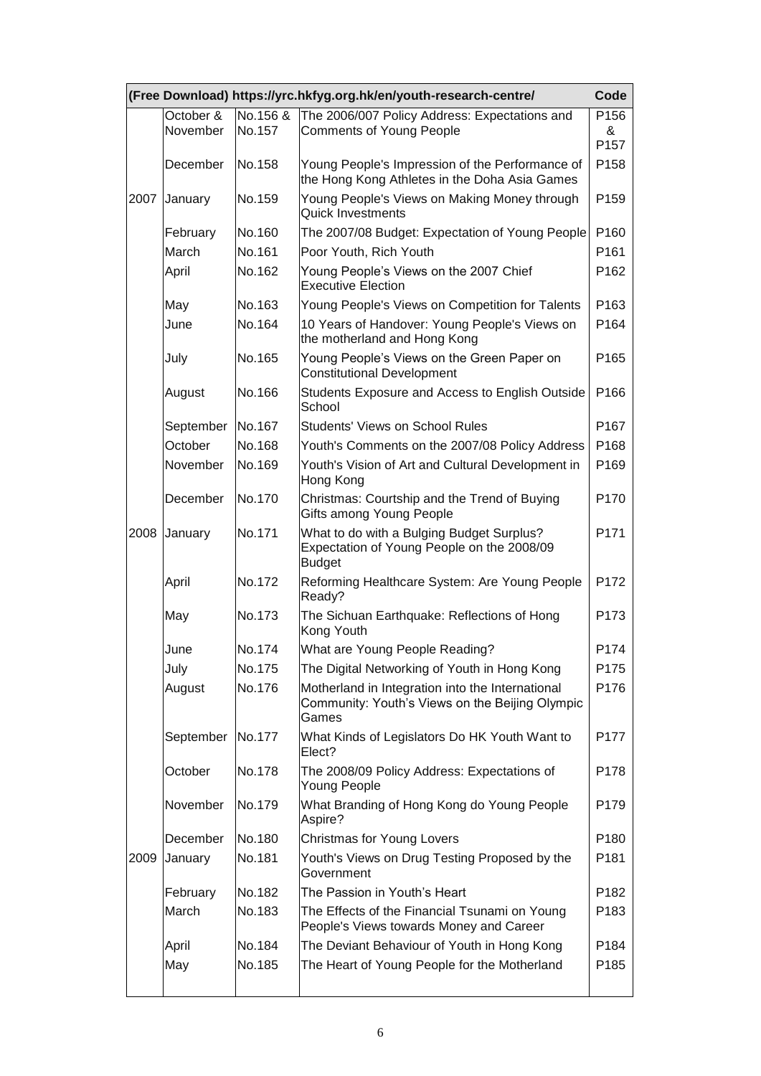|      |                       |                    | (Free Download) https://yrc.hkfyg.org.hk/en/youth-research-centre/                                           | Code                          |
|------|-----------------------|--------------------|--------------------------------------------------------------------------------------------------------------|-------------------------------|
|      | October &<br>November | No.156 &<br>No.157 | The 2006/007 Policy Address: Expectations and<br><b>Comments of Young People</b>                             | P156<br>&<br>P <sub>157</sub> |
|      | December              | No.158             | Young People's Impression of the Performance of<br>the Hong Kong Athletes in the Doha Asia Games             | P158                          |
| 2007 | January               | No.159             | Young People's Views on Making Money through<br><b>Quick Investments</b>                                     | P159                          |
|      | February              | No.160             | The 2007/08 Budget: Expectation of Young People                                                              | P160                          |
|      | March                 | No.161             | Poor Youth, Rich Youth                                                                                       | P161                          |
|      | April                 | No.162             | Young People's Views on the 2007 Chief<br><b>Executive Election</b>                                          | P <sub>162</sub>              |
|      | May                   | No.163             | Young People's Views on Competition for Talents                                                              | P163                          |
|      | June                  | No.164             | 10 Years of Handover: Young People's Views on<br>the motherland and Hong Kong                                | P <sub>164</sub>              |
|      | July                  | No.165             | Young People's Views on the Green Paper on<br><b>Constitutional Development</b>                              | P165                          |
|      | August                | No.166             | Students Exposure and Access to English Outside<br>School                                                    | P166                          |
|      | September             | No.167             | <b>Students' Views on School Rules</b>                                                                       | P <sub>167</sub>              |
|      | October               | No.168             | Youth's Comments on the 2007/08 Policy Address                                                               | P168                          |
|      | November              | No.169             | Youth's Vision of Art and Cultural Development in<br>Hong Kong                                               | P <sub>169</sub>              |
|      | December              | No.170             | Christmas: Courtship and the Trend of Buying<br>Gifts among Young People                                     | P170                          |
| 2008 | January               | No.171             | What to do with a Bulging Budget Surplus?<br>Expectation of Young People on the 2008/09<br><b>Budget</b>     | P171                          |
|      | April                 | No.172             | Reforming Healthcare System: Are Young People<br>Ready?                                                      | P172                          |
|      | May                   | No.173             | The Sichuan Earthquake: Reflections of Hong<br>Kong Youth                                                    | P173                          |
|      | June                  | No.174             | What are Young People Reading?                                                                               | P174                          |
|      | July                  | No.175             | The Digital Networking of Youth in Hong Kong                                                                 | P175                          |
|      | August                | No.176             | Motherland in Integration into the International<br>Community: Youth's Views on the Beijing Olympic<br>Games | P176                          |
|      | September             | No.177             | What Kinds of Legislators Do HK Youth Want to<br>Elect?                                                      | P <sub>177</sub>              |
|      | October               | No.178             | The 2008/09 Policy Address: Expectations of<br>Young People                                                  | P178                          |
|      | November              | No.179             | What Branding of Hong Kong do Young People<br>Aspire?                                                        | P179                          |
|      | December              | No.180             | <b>Christmas for Young Lovers</b>                                                                            | P <sub>180</sub>              |
| 2009 | January               | No.181             | Youth's Views on Drug Testing Proposed by the<br>Government                                                  | P <sub>181</sub>              |
|      | February              | No.182             | The Passion in Youth's Heart                                                                                 | P <sub>182</sub>              |
|      | March                 | No.183             | The Effects of the Financial Tsunami on Young<br>People's Views towards Money and Career                     | P183                          |
|      | April                 | No.184             | The Deviant Behaviour of Youth in Hong Kong                                                                  | P184                          |
|      | May                   | No.185             | The Heart of Young People for the Motherland                                                                 | P185                          |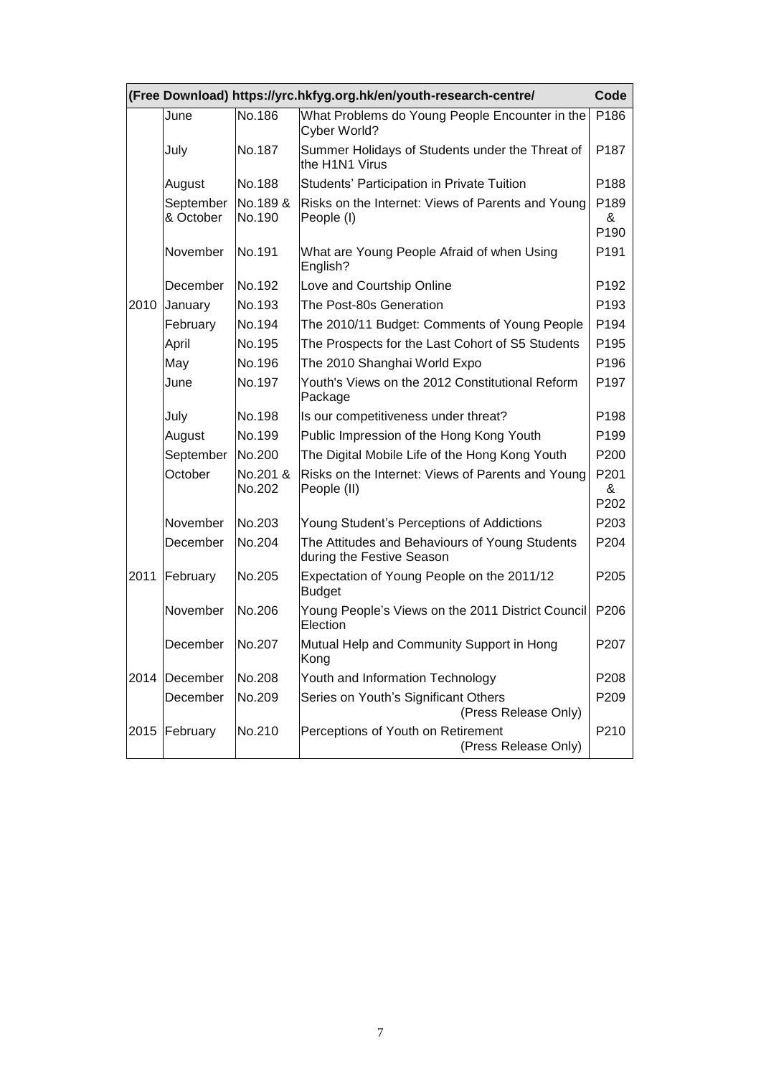|      |                        |                    | (Free Download) https://yrc.hkfyg.org.hk/en/youth-research-centre/          | Code                          |
|------|------------------------|--------------------|-----------------------------------------------------------------------------|-------------------------------|
|      | June                   | No.186             | What Problems do Young People Encounter in the<br>Cyber World?              | P186                          |
|      | July                   | No.187             | Summer Holidays of Students under the Threat of<br>the H1N1 Virus           | P <sub>187</sub>              |
|      | August                 | No.188             | Students' Participation in Private Tuition                                  | P188                          |
|      | September<br>& October | No.189 &<br>No.190 | Risks on the Internet: Views of Parents and Young<br>People (I)             | P <sub>189</sub><br>&<br>P190 |
|      | November               | No.191             | What are Young People Afraid of when Using<br>English?                      | P <sub>191</sub>              |
|      | December               | No.192             | Love and Courtship Online                                                   | P <sub>192</sub>              |
| 2010 | January                | No.193             | The Post-80s Generation                                                     | P193                          |
|      | February               | No.194             | The 2010/11 Budget: Comments of Young People                                | P194                          |
|      | April                  | No.195             | The Prospects for the Last Cohort of S5 Students                            | P195                          |
|      | May                    | No.196             | The 2010 Shanghai World Expo                                                | P196                          |
|      | June                   | No.197             | Youth's Views on the 2012 Constitutional Reform<br>Package                  | P <sub>197</sub>              |
|      | July                   | No.198             | Is our competitiveness under threat?                                        | P <sub>198</sub>              |
|      | August                 | No.199             | Public Impression of the Hong Kong Youth                                    | P199                          |
|      | September              | No.200             | The Digital Mobile Life of the Hong Kong Youth                              | P <sub>200</sub>              |
|      | October                | No.201 &<br>No.202 | Risks on the Internet: Views of Parents and Young<br>People (II)            | P201<br>&<br>P202             |
|      | November               | No.203             | Young Student's Perceptions of Addictions                                   | P <sub>203</sub>              |
|      | December               | No.204             | The Attitudes and Behaviours of Young Students<br>during the Festive Season | P204                          |
| 2011 | February               | No.205             | Expectation of Young People on the 2011/12<br><b>Budget</b>                 | P205                          |
|      | November               | No.206             | Young People's Views on the 2011 District Council<br>Election               | P <sub>206</sub>              |
|      | December               | No.207             | Mutual Help and Community Support in Hong<br>Kong                           | P <sub>20</sub> 7             |
| 2014 | December               | No.208             | Youth and Information Technology                                            | P <sub>208</sub>              |
|      | December               | No.209             | Series on Youth's Significant Others<br>(Press Release Only)                | P <sub>209</sub>              |
| 2015 | February               | No.210             | Perceptions of Youth on Retirement<br>(Press Release Only)                  | P210                          |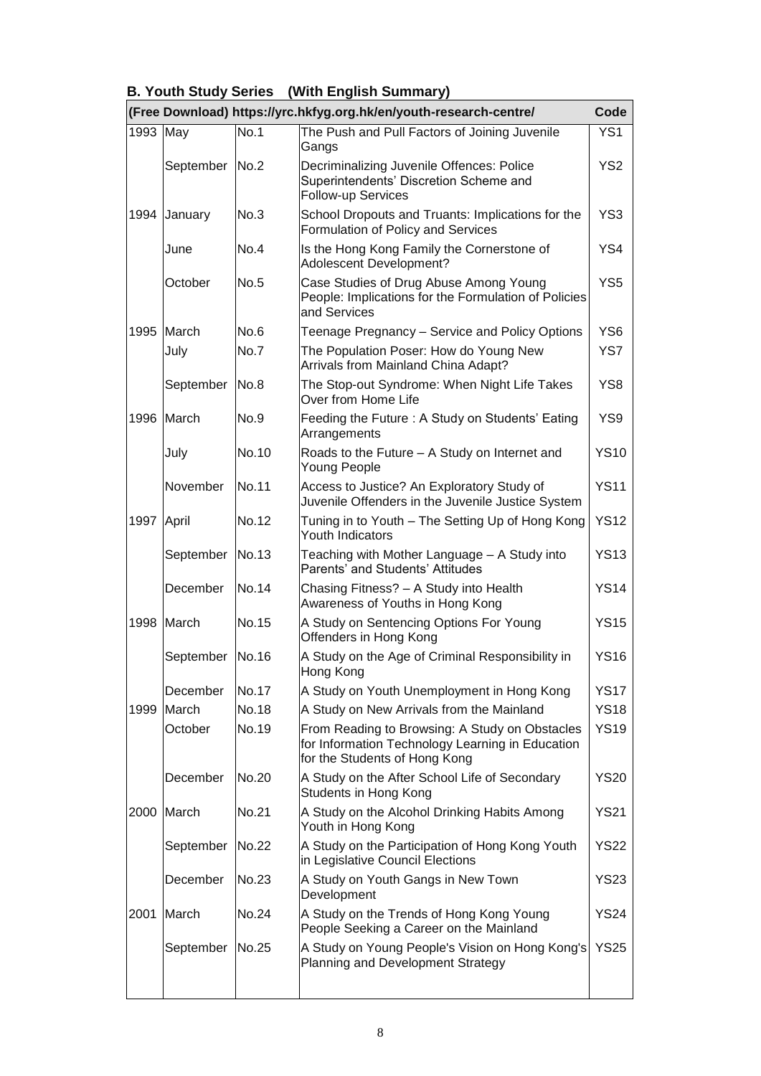|  | <b>B. Youth Study Series</b> (With English Summary) |
|--|-----------------------------------------------------|
|--|-----------------------------------------------------|

|          |            |             | (Free Download) https://yrc.hkfyg.org.hk/en/youth-research-centre/                                                                  | Code            |
|----------|------------|-------------|-------------------------------------------------------------------------------------------------------------------------------------|-----------------|
| 1993 May |            | <b>No.1</b> | The Push and Pull Factors of Joining Juvenile<br>Gangs                                                                              | YS <sub>1</sub> |
|          | September  | <b>No.2</b> | Decriminalizing Juvenile Offences: Police<br>Superintendents' Discretion Scheme and<br>Follow-up Services                           | YS <sub>2</sub> |
| 1994     | January    | No.3        | School Dropouts and Truants: Implications for the<br>Formulation of Policy and Services                                             | YS <sub>3</sub> |
|          | June       | No.4        | Is the Hong Kong Family the Cornerstone of<br>Adolescent Development?                                                               | YS4             |
|          | October    | <b>No.5</b> | Case Studies of Drug Abuse Among Young<br>People: Implications for the Formulation of Policies<br>and Services                      | YS <sub>5</sub> |
| 1995     | March      | No.6        | Teenage Pregnancy - Service and Policy Options                                                                                      | YS <sub>6</sub> |
|          | July       | No.7        | The Population Poser: How do Young New<br>Arrivals from Mainland China Adapt?                                                       | YS7             |
|          | September  | No.8        | The Stop-out Syndrome: When Night Life Takes<br>Over from Home Life                                                                 | YS8             |
|          | 1996 March | No.9        | Feeding the Future: A Study on Students' Eating<br>Arrangements                                                                     | YS9             |
|          | July       | No.10       | Roads to the Future - A Study on Internet and<br>Young People                                                                       | <b>YS10</b>     |
|          | November   | No.11       | Access to Justice? An Exploratory Study of<br>Juvenile Offenders in the Juvenile Justice System                                     | <b>YS11</b>     |
| 1997     | April      | No.12       | Tuning in to Youth - The Setting Up of Hong Kong<br>Youth Indicators                                                                | <b>YS12</b>     |
|          | September  | No.13       | Teaching with Mother Language - A Study into<br>Parents' and Students' Attitudes                                                    | <b>YS13</b>     |
|          | December   | No.14       | Chasing Fitness? - A Study into Health<br>Awareness of Youths in Hong Kong                                                          | <b>YS14</b>     |
| 1998     | March      | No.15       | A Study on Sentencing Options For Young<br>Offenders in Hong Kong                                                                   | <b>YS15</b>     |
|          | September  | No.16       | A Study on the Age of Criminal Responsibility in<br>Hong Kong                                                                       | <b>YS16</b>     |
|          | December   | No.17       | A Study on Youth Unemployment in Hong Kong                                                                                          | <b>YS17</b>     |
| 1999     | March      | No.18       | A Study on New Arrivals from the Mainland                                                                                           | <b>YS18</b>     |
|          | October    | No.19       | From Reading to Browsing: A Study on Obstacles<br>for Information Technology Learning in Education<br>for the Students of Hong Kong | <b>YS19</b>     |
|          | December   | No.20       | A Study on the After School Life of Secondary<br>Students in Hong Kong                                                              | <b>YS20</b>     |
| 2000     | March      | No.21       | A Study on the Alcohol Drinking Habits Among<br>Youth in Hong Kong                                                                  | <b>YS21</b>     |
|          | September  | No.22       | A Study on the Participation of Hong Kong Youth<br>in Legislative Council Elections                                                 | <b>YS22</b>     |
|          | December   | No.23       | A Study on Youth Gangs in New Town<br>Development                                                                                   | <b>YS23</b>     |
| 2001     | March      | No.24       | A Study on the Trends of Hong Kong Young<br>People Seeking a Career on the Mainland                                                 | <b>YS24</b>     |
|          | September  | No.25       | A Study on Young People's Vision on Hong Kong's<br>Planning and Development Strategy                                                | <b>YS25</b>     |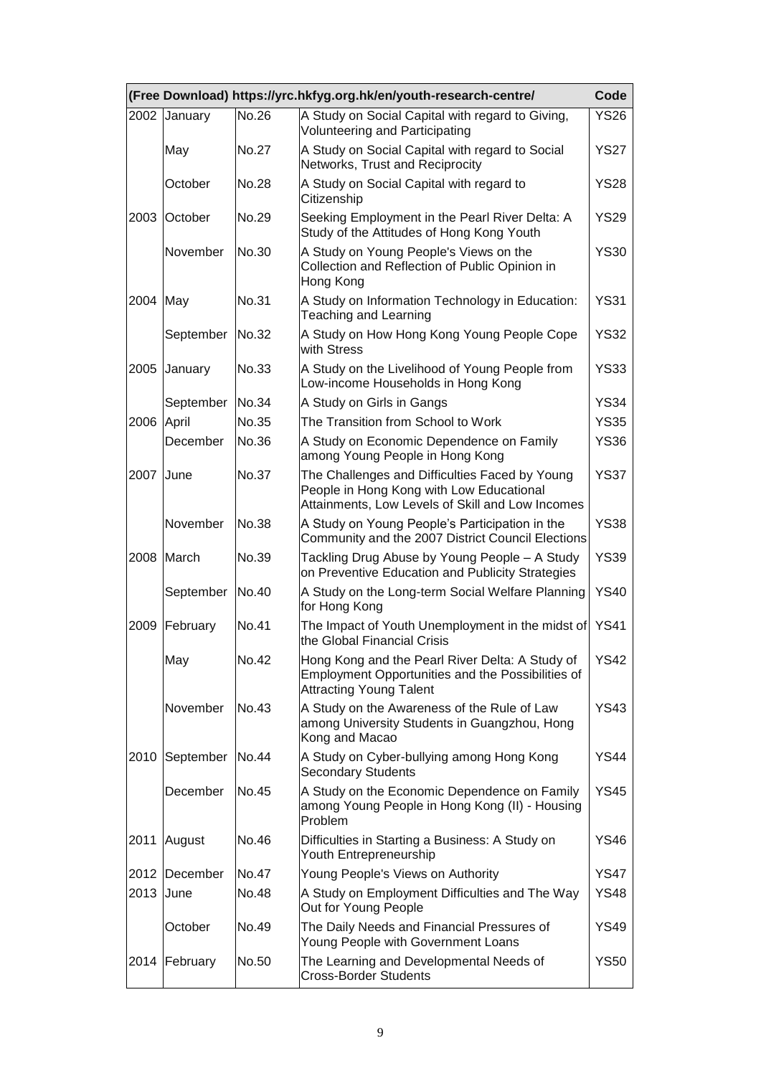|      |                 |       | (Free Download) https://yrc.hkfyg.org.hk/en/youth-research-centre/                                                                             | Code        |
|------|-----------------|-------|------------------------------------------------------------------------------------------------------------------------------------------------|-------------|
| 2002 | January         | No.26 | A Study on Social Capital with regard to Giving,<br><b>Volunteering and Participating</b>                                                      | <b>YS26</b> |
|      | May             | No.27 | A Study on Social Capital with regard to Social<br>Networks, Trust and Reciprocity                                                             | <b>YS27</b> |
|      | October         | No.28 | A Study on Social Capital with regard to<br>Citizenship                                                                                        | <b>YS28</b> |
| 2003 | October         | No.29 | Seeking Employment in the Pearl River Delta: A<br>Study of the Attitudes of Hong Kong Youth                                                    | <b>YS29</b> |
|      | November        | No.30 | A Study on Young People's Views on the<br>Collection and Reflection of Public Opinion in<br>Hong Kong                                          | <b>YS30</b> |
| 2004 | May             | No.31 | A Study on Information Technology in Education:<br><b>Teaching and Learning</b>                                                                | <b>YS31</b> |
|      | September No.32 |       | A Study on How Hong Kong Young People Cope<br>with Stress                                                                                      | <b>YS32</b> |
| 2005 | January         | No.33 | A Study on the Livelihood of Young People from<br>Low-income Households in Hong Kong                                                           | <b>YS33</b> |
|      | September       | No.34 | A Study on Girls in Gangs                                                                                                                      | <b>YS34</b> |
| 2006 | April           | No.35 | The Transition from School to Work                                                                                                             | <b>YS35</b> |
|      | December        | No.36 | A Study on Economic Dependence on Family<br>among Young People in Hong Kong                                                                    | <b>YS36</b> |
| 2007 | June            | No.37 | The Challenges and Difficulties Faced by Young<br>People in Hong Kong with Low Educational<br>Attainments, Low Levels of Skill and Low Incomes | <b>YS37</b> |
|      | November        | No.38 | A Study on Young People's Participation in the<br>Community and the 2007 District Council Elections                                            | <b>YS38</b> |
| 2008 | March           | No.39 | Tackling Drug Abuse by Young People - A Study<br>on Preventive Education and Publicity Strategies                                              | <b>YS39</b> |
|      | September       | No.40 | A Study on the Long-term Social Welfare Planning<br>for Hong Kong                                                                              | <b>YS40</b> |
| 2009 | February        | No.41 | The Impact of Youth Unemployment in the midst of<br>the Global Financial Crisis                                                                | <b>YS41</b> |
|      | May             | No.42 | Hong Kong and the Pearl River Delta: A Study of<br>Employment Opportunities and the Possibilities of<br><b>Attracting Young Talent</b>         | <b>YS42</b> |
|      | November        | No.43 | A Study on the Awareness of the Rule of Law<br>among University Students in Guangzhou, Hong<br>Kong and Macao                                  | <b>YS43</b> |
| 2010 | September No.44 |       | A Study on Cyber-bullying among Hong Kong<br><b>Secondary Students</b>                                                                         | <b>YS44</b> |
|      | December        | No.45 | A Study on the Economic Dependence on Family<br>among Young People in Hong Kong (II) - Housing<br>Problem                                      | <b>YS45</b> |
| 2011 | August          | No.46 | Difficulties in Starting a Business: A Study on<br>Youth Entrepreneurship                                                                      | <b>YS46</b> |
| 2012 | December        | No.47 | Young People's Views on Authority                                                                                                              | <b>YS47</b> |
| 2013 | June            | No.48 | A Study on Employment Difficulties and The Way<br>Out for Young People                                                                         | <b>YS48</b> |
|      | October         | No.49 | The Daily Needs and Financial Pressures of<br>Young People with Government Loans                                                               | <b>YS49</b> |
| 2014 | February        | No.50 | The Learning and Developmental Needs of<br><b>Cross-Border Students</b>                                                                        | YS50        |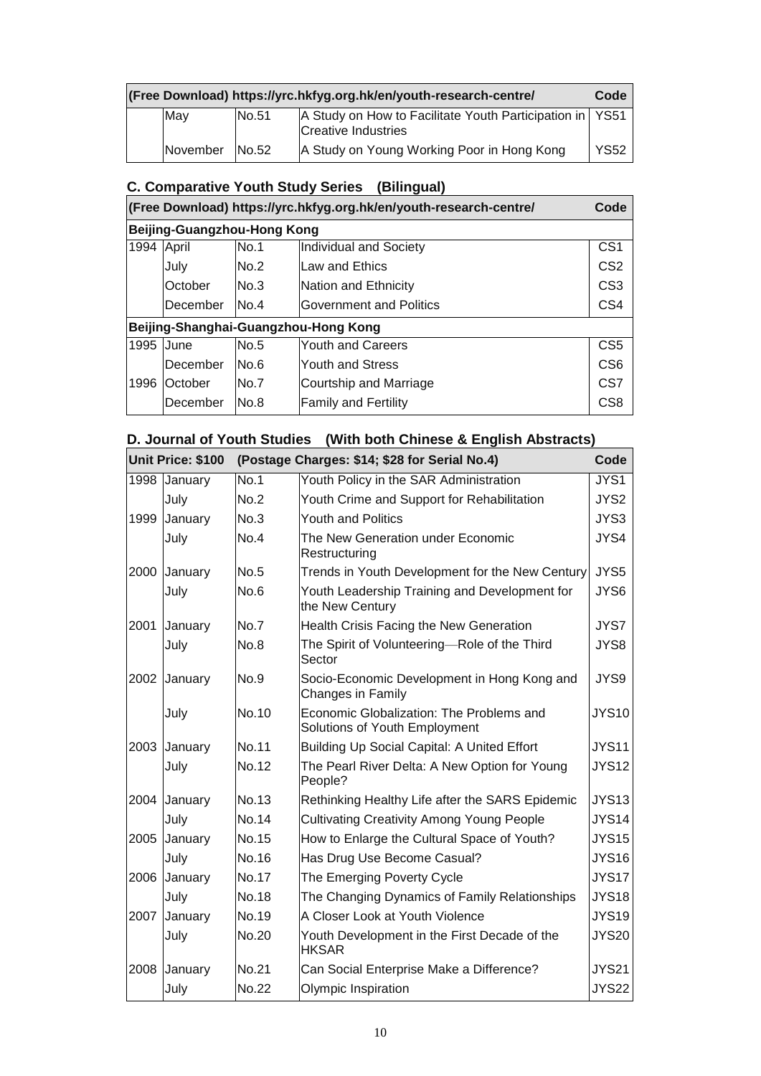| (Free Download) https://yrc.hkfyg.org.hk/en/youth-research-centre/ |  |          |       |                                                                                   | Code        |
|--------------------------------------------------------------------|--|----------|-------|-----------------------------------------------------------------------------------|-------------|
|                                                                    |  | May      | No.51 | A Study on How to Facilitate Youth Participation in   YS51<br>Creative Industries |             |
|                                                                    |  | November | No.52 | A Study on Young Working Poor in Hong Kong                                        | <b>YS52</b> |

# **C. Comparative Youth Study Series (Bilingual)**

|      |                             |      | (Free Download) https://yrc.hkfyg.org.hk/en/youth-research-centre/ | Code            |
|------|-----------------------------|------|--------------------------------------------------------------------|-----------------|
|      | Beijing-Guangzhou-Hong Kong |      |                                                                    |                 |
| 1994 | April                       | No.1 | Individual and Society                                             | CS <sub>1</sub> |
|      | July                        | No.2 | Law and Ethics                                                     | CS <sub>2</sub> |
|      | October                     | No.3 | Nation and Ethnicity                                               | CS <sub>3</sub> |
|      | December                    | No.4 | <b>Government and Politics</b>                                     | CS <sub>4</sub> |
|      |                             |      | Beijing-Shanghai-Guangzhou-Hong Kong                               |                 |
| 1995 | June                        | No.5 | <b>Youth and Careers</b>                                           | CS <sub>5</sub> |
|      | December                    | No.6 | <b>Youth and Stress</b>                                            | C <sub>S6</sub> |
| 1996 | lOctober                    | No.7 | Courtship and Marriage                                             | CS <sub>7</sub> |
|      | December                    | No.8 | <b>Family and Fertility</b>                                        | CS <sub>8</sub> |

# **D. Journal of Youth Studies (With both Chinese & English Abstracts)**

|      | Unit Price: \$100 |              | (Postage Charges: \$14; \$28 for Serial No.4)                             | Code         |
|------|-------------------|--------------|---------------------------------------------------------------------------|--------------|
|      | 1998 January      | <b>No.1</b>  | Youth Policy in the SAR Administration                                    | JYS1         |
|      | July              | No.2         | Youth Crime and Support for Rehabilitation                                | JYS2         |
| 1999 | January           | No.3         | <b>Youth and Politics</b>                                                 | JYS3         |
|      | July              | No.4         | The New Generation under Economic<br>Restructuring                        | JYS4         |
| 2000 | January           | No.5         | Trends in Youth Development for the New Century                           | JYS5         |
|      | July              | No.6         | Youth Leadership Training and Development for<br>the New Century          | JYS6         |
| 2001 | January           | No.7         | Health Crisis Facing the New Generation                                   | JYS7         |
|      | July              | No.8         | The Spirit of Volunteering-Role of the Third<br>Sector                    | JYS8         |
| 2002 | January           | No.9         | Socio-Economic Development in Hong Kong and<br>Changes in Family          | JYS9         |
|      | July              | No.10        | Economic Globalization: The Problems and<br>Solutions of Youth Employment | <b>JYS10</b> |
| 2003 | January           | No.11        | Building Up Social Capital: A United Effort                               | <b>JYS11</b> |
|      | July              | No.12        | The Pearl River Delta: A New Option for Young<br>People?                  | <b>JYS12</b> |
| 2004 | January           | No.13        | Rethinking Healthy Life after the SARS Epidemic                           | <b>JYS13</b> |
|      | July              | No.14        | <b>Cultivating Creativity Among Young People</b>                          | <b>JYS14</b> |
| 2005 | January           | No.15        | How to Enlarge the Cultural Space of Youth?                               | <b>JYS15</b> |
|      | July              | No.16        | Has Drug Use Become Casual?                                               | <b>JYS16</b> |
| 2006 | January           | No.17        | The Emerging Poverty Cycle                                                | JYS17        |
|      | July              | <b>No.18</b> | The Changing Dynamics of Family Relationships                             | <b>JYS18</b> |
| 2007 | January           | No.19        | A Closer Look at Youth Violence                                           | <b>JYS19</b> |
|      | July              | No.20        | Youth Development in the First Decade of the<br><b>HKSAR</b>              | <b>JYS20</b> |
| 2008 | January           | No.21        | Can Social Enterprise Make a Difference?                                  | <b>JYS21</b> |
|      | July              | <b>No.22</b> | Olympic Inspiration                                                       | <b>JYS22</b> |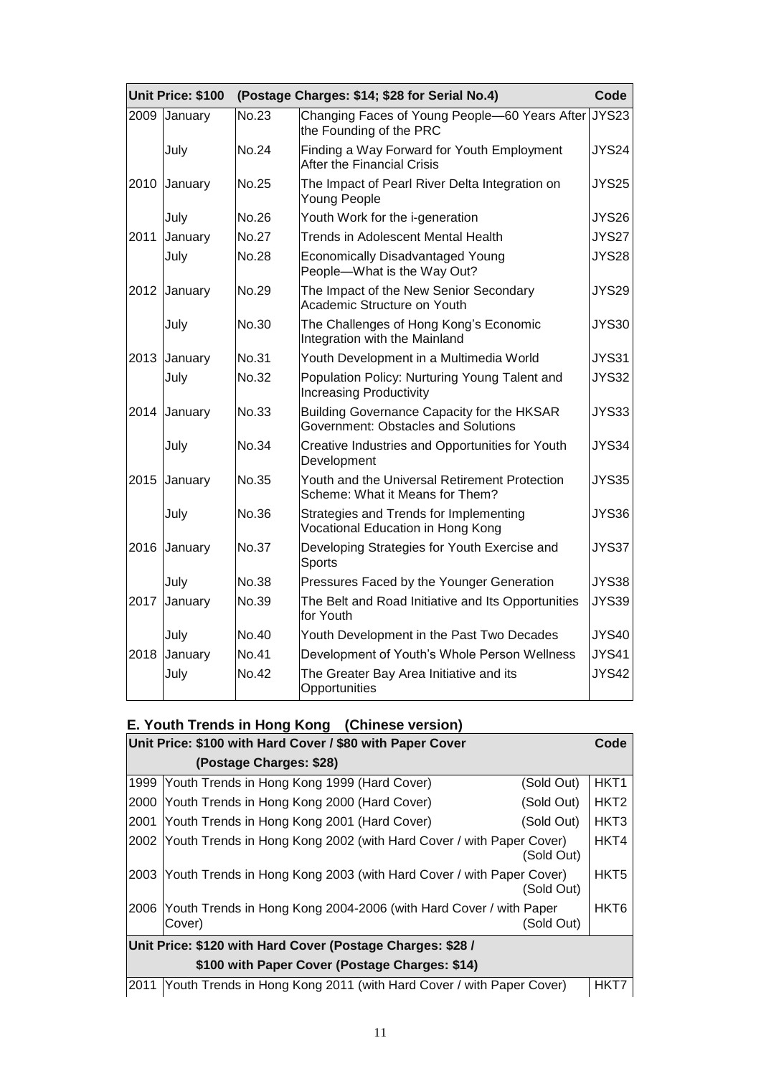|      | Unit Price: \$100 |              | (Postage Charges: \$14; \$28 for Serial No.4)                                     | Code         |
|------|-------------------|--------------|-----------------------------------------------------------------------------------|--------------|
| 2009 | January           | No.23        | Changing Faces of Young People-60 Years After<br>the Founding of the PRC          | <b>JYS23</b> |
|      | July              | No.24        | Finding a Way Forward for Youth Employment<br>After the Financial Crisis          | JYS24        |
| 2010 | January           | No.25        | The Impact of Pearl River Delta Integration on<br>Young People                    | <b>JYS25</b> |
|      | July              | No.26        | Youth Work for the i-generation                                                   | JYS26        |
| 2011 | January           | <b>No.27</b> | <b>Trends in Adolescent Mental Health</b>                                         | <b>JYS27</b> |
|      | July              | No.28        | <b>Economically Disadvantaged Young</b><br>People-What is the Way Out?            | <b>JYS28</b> |
|      | 2012 January      | No.29        | The Impact of the New Senior Secondary<br>Academic Structure on Youth             | <b>JYS29</b> |
|      | July              | No.30        | The Challenges of Hong Kong's Economic<br>Integration with the Mainland           | <b>JYS30</b> |
|      | 2013 January      | No.31        | Youth Development in a Multimedia World                                           | <b>JYS31</b> |
|      | July              | No.32        | Population Policy: Nurturing Young Talent and<br><b>Increasing Productivity</b>   | <b>JYS32</b> |
| 2014 | January           | No.33        | Building Governance Capacity for the HKSAR<br>Government: Obstacles and Solutions | <b>JYS33</b> |
|      | July              | <b>No.34</b> | Creative Industries and Opportunities for Youth<br>Development                    | <b>JYS34</b> |
| 2015 | January           | No.35        | Youth and the Universal Retirement Protection<br>Scheme: What it Means for Them?  | <b>JYS35</b> |
|      | July              | No.36        | Strategies and Trends for Implementing<br>Vocational Education in Hong Kong       | JYS36        |
|      | 2016 January      | No.37        | Developing Strategies for Youth Exercise and<br><b>Sports</b>                     | JYS37        |
|      | July              | <b>No.38</b> | Pressures Faced by the Younger Generation                                         | <b>JYS38</b> |
| 2017 | January           | No.39        | The Belt and Road Initiative and Its Opportunities<br>for Youth                   | <b>JYS39</b> |
|      | July              | No.40        | Youth Development in the Past Two Decades                                         | <b>JYS40</b> |
| 2018 | January           | No.41        | Development of Youth's Whole Person Wellness                                      | <b>JYS41</b> |
|      | July              | No.42        | The Greater Bay Area Initiative and its<br>Opportunities                          | <b>JYS42</b> |

# **E. Youth Trends in Hong Kong (Chinese version)**

|                                                            | Unit Price: \$100 with Hard Cover / \$80 with Paper Cover                   |            | Code             |  |  |
|------------------------------------------------------------|-----------------------------------------------------------------------------|------------|------------------|--|--|
|                                                            | (Postage Charges: \$28)                                                     |            |                  |  |  |
| 1999                                                       | Youth Trends in Hong Kong 1999 (Hard Cover)                                 | (Sold Out) | HKT <sub>1</sub> |  |  |
| 2000                                                       | Youth Trends in Hong Kong 2000 (Hard Cover)                                 | (Sold Out) | HKT <sub>2</sub> |  |  |
| 2001                                                       | Youth Trends in Hong Kong 2001 (Hard Cover)                                 | (Sold Out) | HKT3             |  |  |
|                                                            | 2002 Youth Trends in Hong Kong 2002 (with Hard Cover / with Paper Cover)    | (Sold Out) | HKT4             |  |  |
|                                                            | 2003 Youth Trends in Hong Kong 2003 (with Hard Cover / with Paper Cover)    | (Sold Out) | HKT <sub>5</sub> |  |  |
| 2006                                                       | Youth Trends in Hong Kong 2004-2006 (with Hard Cover / with Paper<br>Cover) | (Sold Out) | HKT <sub>6</sub> |  |  |
| Unit Price: \$120 with Hard Cover (Postage Charges: \$28 / |                                                                             |            |                  |  |  |
|                                                            | \$100 with Paper Cover (Postage Charges: \$14)                              |            |                  |  |  |
|                                                            | 2011 Youth Trends in Hong Kong 2011 (with Hard Cover / with Paper Cover)    |            | HKT7             |  |  |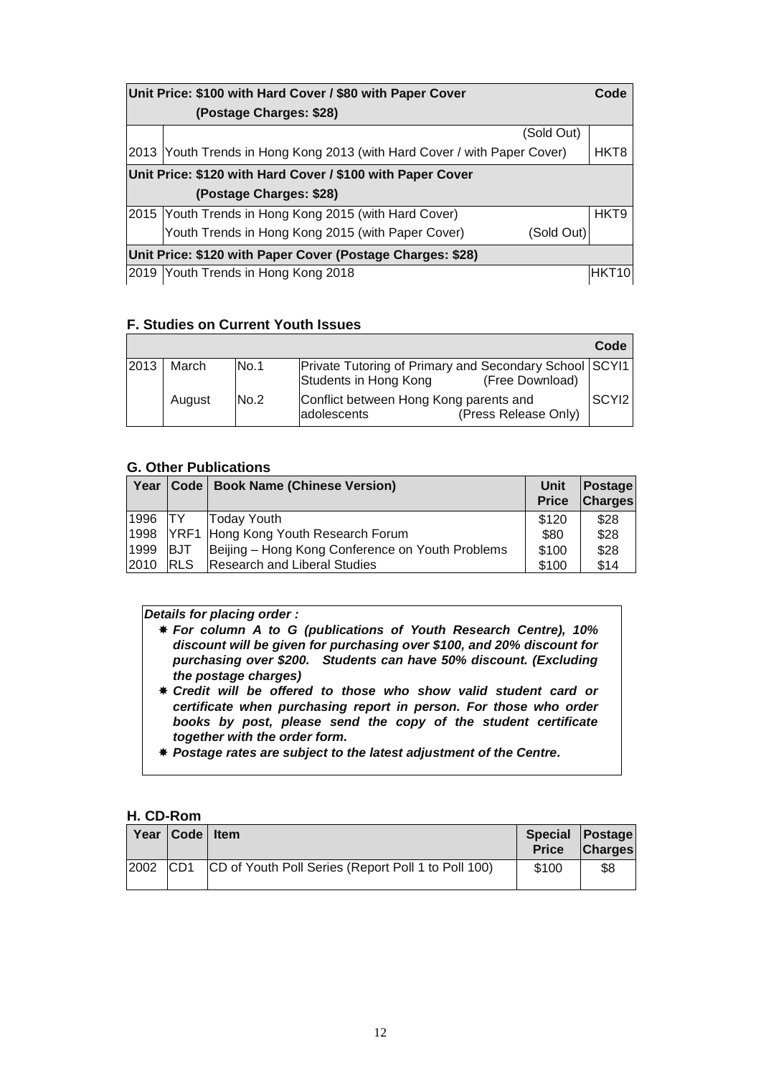| Unit Price: \$100 with Hard Cover / \$80 with Paper Cover                |            | Code             |
|--------------------------------------------------------------------------|------------|------------------|
| (Postage Charges: \$28)                                                  |            |                  |
|                                                                          | (Sold Out) |                  |
| 2013 Youth Trends in Hong Kong 2013 (with Hard Cover / with Paper Cover) |            | HKT8             |
| Unit Price: \$120 with Hard Cover / \$100 with Paper Cover               |            |                  |
| (Postage Charges: \$28)                                                  |            |                  |
| 2015 Youth Trends in Hong Kong 2015 (with Hard Cover)                    |            | HKT <sub>9</sub> |
| Youth Trends in Hong Kong 2015 (with Paper Cover)                        | (Sold Out) |                  |
| Unit Price: \$120 with Paper Cover (Postage Charges: \$28)               |            |                  |
| 2019 Youth Trends in Hong Kong 2018                                      |            |                  |

### **F. Studies on Current Youth Issues**

|      |        |             |                                                                                                           | Code  |
|------|--------|-------------|-----------------------------------------------------------------------------------------------------------|-------|
| 2013 | March  | <b>No.1</b> | <b>Private Tutoring of Primary and Secondary School SCYI1</b><br>Students in Hong Kong<br>(Free Download) |       |
|      | August | No.2        | Conflict between Hong Kong parents and<br>(Press Release Only)<br>adolescents                             | SCYI2 |

### **G. Other Publications**

| Year      | Code <sub>1</sub> | <b>Book Name (Chinese Version)</b>               | Unit<br><b>Price</b> | Postage<br><b>Charges</b> |
|-----------|-------------------|--------------------------------------------------|----------------------|---------------------------|
| 1996   TY |                   | Today Youth                                      | \$120                | \$28                      |
| 1998      |                   | YRF1 Hong Kong Youth Research Forum              | \$80                 | \$28                      |
| 1999      | <b>BJT</b>        | Beijing - Hong Kong Conference on Youth Problems | \$100                | \$28                      |
| 2010      | <b>RLS</b>        | <b>Research and Liberal Studies</b>              | \$100                | \$14                      |

### *Details for placing order :*

- *For column A to G (publications of Youth Research Centre), 10% discount will be given for purchasing over \$100, and 20% discount for purchasing over \$200. Students can have 50% discount. (Excluding the postage charges)*
- *Credit will be offered to those who show valid student card or certificate when purchasing report in person. For those who order books by post, please send the copy of the student certificate together with the order form.*
- *Postage rates are subject to the latest adjustment of the Centre.*

### **H. CD-Rom**

|      | Year   Code   Item |                                                     | <b>Price</b> | Special Postage<br><b>Charges</b> |
|------|--------------------|-----------------------------------------------------|--------------|-----------------------------------|
| 2002 | CD <sub>1</sub>    | CD of Youth Poll Series (Report Poll 1 to Poll 100) | \$100        | \$8                               |